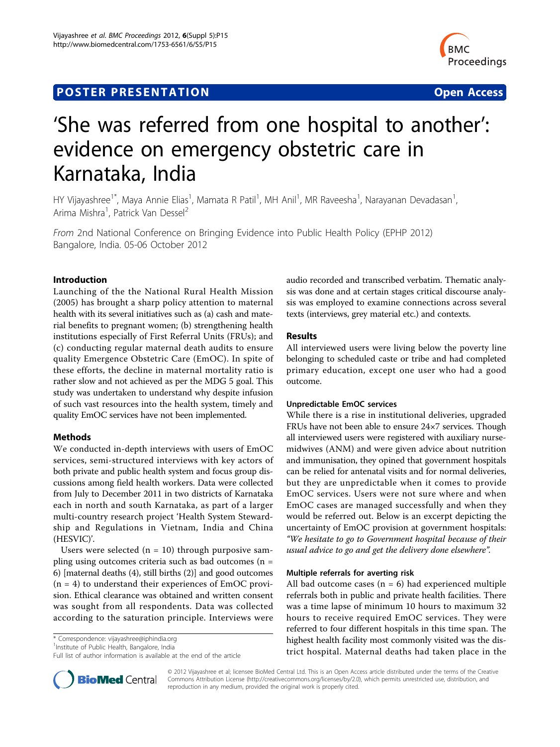# **POSTER PRESENTATION CONSUMING THE SERVICE SERVICE SERVICES**



# 'She was referred from one hospital to another': evidence on emergency obstetric care in Karnataka, India

HY Vijayashree<sup>1\*</sup>, Maya Annie Elias<sup>1</sup>, Mamata R Patil<sup>1</sup>, MH Anil<sup>1</sup>, MR Raveesha<sup>1</sup>, Narayanan Devadasan<sup>1</sup> , Arima Mishra<sup>1</sup>, Patrick Van Dessel<sup>2</sup>

From 2nd National Conference on Bringing Evidence into Public Health Policy (EPHP 2012) Bangalore, India. 05-06 October 2012

## Introduction

Launching of the the National Rural Health Mission (2005) has brought a sharp policy attention to maternal health with its several initiatives such as (a) cash and material benefits to pregnant women; (b) strengthening health institutions especially of First Referral Units (FRUs); and (c) conducting regular maternal death audits to ensure quality Emergence Obstetric Care (EmOC). In spite of these efforts, the decline in maternal mortality ratio is rather slow and not achieved as per the MDG 5 goal. This study was undertaken to understand why despite infusion of such vast resources into the health system, timely and quality EmOC services have not been implemented.

### Methods

We conducted in-depth interviews with users of EmOC services, semi-structured interviews with key actors of both private and public health system and focus group discussions among field health workers. Data were collected from July to December 2011 in two districts of Karnataka each in north and south Karnataka, as part of a larger multi-country research project 'Health System Stewardship and Regulations in Vietnam, India and China (HESVIC)'.

Users were selected  $(n = 10)$  through purposive sampling using outcomes criteria such as bad outcomes (n = 6) [maternal deaths (4), still births (2)] and good outcomes  $(n = 4)$  to understand their experiences of EmOC provision. Ethical clearance was obtained and written consent was sought from all respondents. Data was collected according to the saturation principle. Interviews were

\* Correspondence: [vijayashree@iphindia.org](mailto:vijayashree@iphindia.org)

<sup>1</sup>Institute of Public Health, Bangalore, India

Full list of author information is available at the end of the article

audio recorded and transcribed verbatim. Thematic analysis was done and at certain stages critical discourse analysis was employed to examine connections across several texts (interviews, grey material etc.) and contexts.

#### Results

All interviewed users were living below the poverty line belonging to scheduled caste or tribe and had completed primary education, except one user who had a good outcome.

#### Unpredictable EmOC services

While there is a rise in institutional deliveries, upgraded FRUs have not been able to ensure 24×7 services. Though all interviewed users were registered with auxiliary nursemidwives (ANM) and were given advice about nutrition and immunisation, they opined that government hospitals can be relied for antenatal visits and for normal deliveries, but they are unpredictable when it comes to provide EmOC services. Users were not sure where and when EmOC cases are managed successfully and when they would be referred out. Below is an excerpt depicting the uncertainty of EmOC provision at government hospitals: "We hesitate to go to Government hospital because of their usual advice to go and get the delivery done elsewhere".

#### Multiple referrals for averting risk

All bad outcome cases  $(n = 6)$  had experienced multiple referrals both in public and private health facilities. There was a time lapse of minimum 10 hours to maximum 32 hours to receive required EmOC services. They were referred to four different hospitals in this time span. The highest health facility most commonly visited was the district hospital. Maternal deaths had taken place in the



© 2012 Vijayashree et al; licensee BioMed Central Ltd. This is an Open Access article distributed under the terms of the Creative Commons Attribution License [\(http://creativecommons.org/licenses/by/2.0](http://creativecommons.org/licenses/by/2.0)), which permits unrestricted use, distribution, and reproduction in any medium, provided the original work is properly cited.